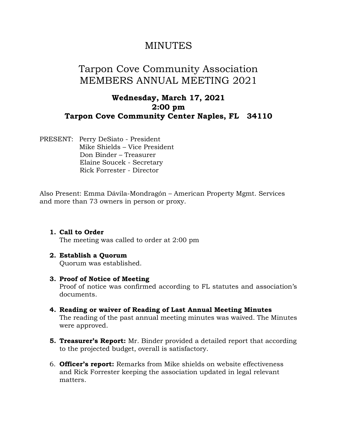## MINUTES

# Tarpon Cove Community Association MEMBERS ANNUAL MEETING 2021

### **Wednesday, March 17, 2021 2:00 pm Tarpon Cove Community Center Naples, FL 34110**

PRESENT: Perry DeSiato - President Mike Shields – Vice President Don Binder – Treasurer Elaine Soucek - Secretary Rick Forrester - Director

Also Present: Emma Dávila-Mondragón – American Property Mgmt. Services and more than 73 owners in person or proxy.

**1. Call to Order**  The meeting was called to order at 2:00 pm

#### **2. Establish a Quorum**

Quorum was established.

#### **3. Proof of Notice of Meeting**

Proof of notice was confirmed according to FL statutes and association's documents.

- **4. Reading or waiver of Reading of Last Annual Meeting Minutes**  The reading of the past annual meeting minutes was waived. The Minutes were approved.
- **5. Treasurer's Report:** Mr. Binder provided a detailed report that according to the projected budget, overall is satisfactory.
- 6. **Officer's report:** Remarks from Mike shields on website effectiveness and Rick Forrester keeping the association updated in legal relevant matters.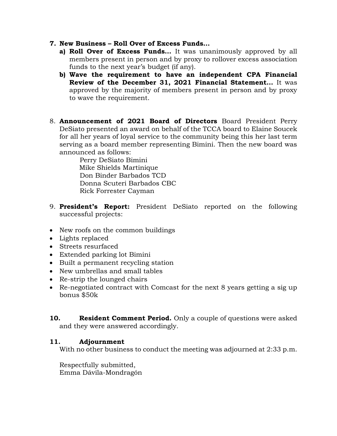- **7. New Business – Roll Over of Excess Funds…**
	- **a) Roll Over of Excess Funds…** It was unanimously approved by all members present in person and by proxy to rollover excess association funds to the next year's budget (if any).
	- **b) Wave the requirement to have an independent CPA Financial Review of the December 31, 2021 Financial Statement…** It was approved by the majority of members present in person and by proxy to wave the requirement.
- 8. **Announcement of 2021 Board of Directors** Board President Perry DeSiato presented an award on behalf of the TCCA board to Elaine Soucek for all her years of loyal service to the community being this her last term serving as a board member representing Bimini. Then the new board was announced as follows:

 Perry DeSiato Bimini Mike Shields Martinique Don Binder Barbados TCD Donna Scuteri Barbados CBC Rick Forrester Cayman

- 9. **President's Report:** President DeSiato reported on the following successful projects:
- New roofs on the common buildings
- Lights replaced
- Streets resurfaced
- Extended parking lot Bimini
- Built a permanent recycling station
- New umbrellas and small tables
- Re-strip the lounged chairs
- Re-negotiated contract with Comcast for the next 8 years getting a sig up bonus \$50k

**10. Resident Comment Period.** Only a couple of questions were asked and they were answered accordingly.

#### **11. Adjournment**

With no other business to conduct the meeting was adjourned at 2:33 p.m.

Respectfully submitted, Emma Dávila-Mondragón